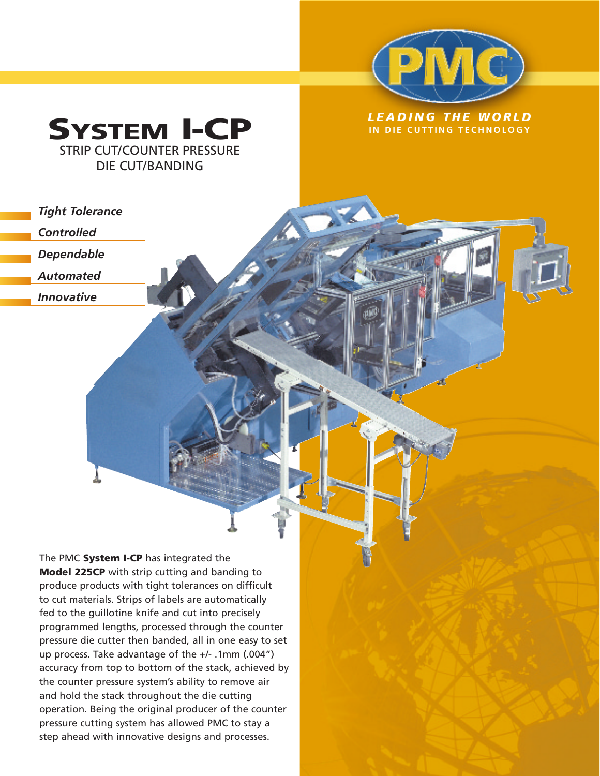



*Tight Tolerance*

*Controlled*

*Dependable*

*Automated*

*Innovative*

The PMC **System I-CP** has integrated the **Model 225CP** with strip cutting and banding to produce products with tight tolerances on difficult to cut materials. Strips of labels are automatically fed to the guillotine knife and cut into precisely programmed lengths, processed through the counter pressure die cutter then banded, all in one easy to set up process. Take advantage of the +/- .1mm (.004") accuracy from top to bottom of the stack, achieved by the counter pressure system's ability to remove air and hold the stack throughout the die cutting operation. Being the original producer of the counter pressure cutting system has allowed PMC to stay a step ahead with innovative designs and processes.